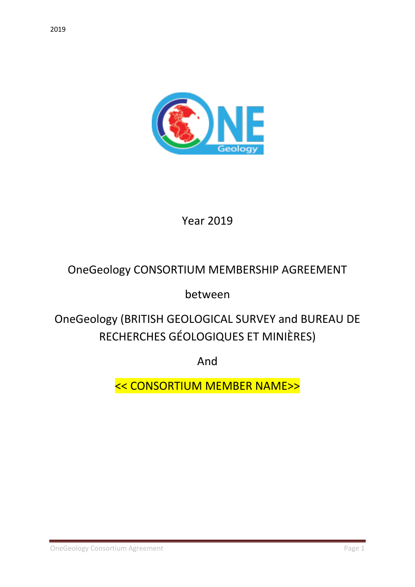

Year 2019

# OneGeology CONSORTIUM MEMBERSHIP AGREEMENT

between

# OneGeology (BRITISH GEOLOGICAL SURVEY and BUREAU DE RECHERCHES GÉOLOGIQUES ET MINIÈRES)

And

<< CONSORTIUM MEMBER NAME>>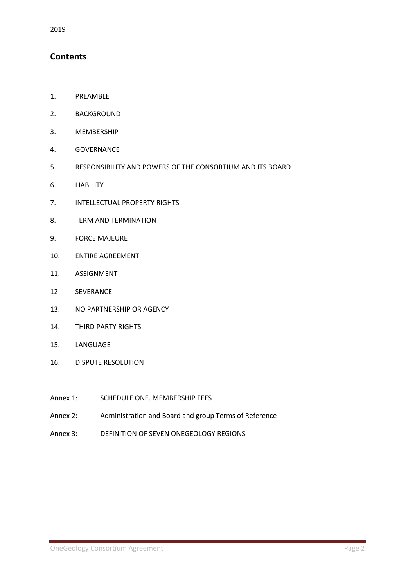# **Contents**

- 1. PREAMBLE
- 2. BACKGROUND
- 3. MEMBERSHIP
- 4. GOVERNANCE
- 5. RESPONSIBILITY AND POWERS OF THE CONSORTIUM AND ITS BOARD
- 6. LIABILITY
- 7. INTELLECTUAL PROPERTY RIGHTS
- 8. TERM AND TERMINATION
- 9. FORCE MAJEURE
- 10. ENTIRE AGREEMENT
- 11. ASSIGNMENT
- 12 SEVERANCE
- 13. NO PARTNERSHIP OR AGENCY
- 14. THIRD PARTY RIGHTS
- 15. LANGUAGE
- 16. DISPUTE RESOLUTION
- Annex 1: SCHEDULE ONE. MEMBERSHIP FEES
- Annex 2: Administration and Board and group Terms of Reference
- Annex 3: DEFINITION OF SEVEN ONEGEOLOGY REGIONS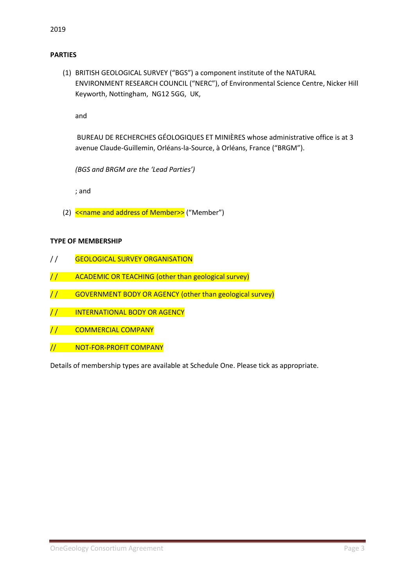#### **PARTIES**

(1) BRITISH GEOLOGICAL SURVEY ("BGS") a component institute of the NATURAL ENVIRONMENT RESEARCH COUNCIL ("NERC"), of Environmental Science Centre, Nicker Hill Keyworth, Nottingham, NG12 5GG, UK,

and

BUREAU DE RECHERCHES GÉOLOGIQUES ET MINIÈRES whose administrative office is at 3 avenue Claude-Guillemin, Orléans-la-Source, à Orléans, France ("BRGM").

*(BGS and BRGM are the 'Lead Parties')*

; and

(2) << name and address of Member>> ("Member")

#### **TYPE OF MEMBERSHIP**

- / / GEOLOGICAL SURVEY ORGANISATION
- // ACADEMIC OR TEACHING (other than geological survey)
- / / GOVERNMENT BODY OR AGENCY (other than geological survey)
- / / INTERNATIONAL BODY OR AGENCY
- / / COMMERCIAL COMPANY
- // NOT-FOR-PROFIT COMPANY

Details of membership types are available at Schedule One. Please tick as appropriate.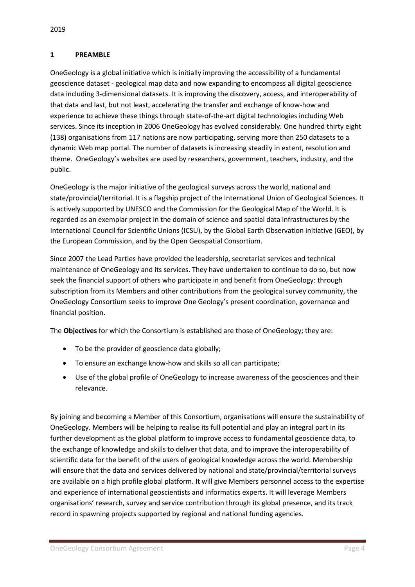#### **1 PREAMBLE**

OneGeology is a global initiative which is initially improving the accessibility of a fundamental geoscience dataset - geological map data and now expanding to encompass all digital geoscience data including 3-dimensional datasets. It is improving the discovery, access, and interoperability of that data and last, but not least, accelerating the transfer and exchange of know-how and experience to achieve these things through state-of-the-art digital technologies including Web services. Since its inception in 2006 OneGeology has evolved considerably. One hundred thirty eight (138) organisations from 117 nations are now participating, serving more than 250 datasets to a dynamic Web map portal. The number of datasets is increasing steadily in extent, resolution and theme. OneGeology's websites are used by researchers, government, teachers, industry, and the public.

OneGeology is the major initiative of the geological surveys across the world, national and state/provincial/territorial. It is a flagship project of the International Union of Geological Sciences. It is actively supported by UNESCO and the Commission for the Geological Map of the World. It is regarded as an exemplar project in the domain of science and spatial data infrastructures by the International Council for Scientific Unions (ICSU), by the Global Earth Observation initiative (GEO), by the European Commission, and by the Open Geospatial Consortium.

Since 2007 the Lead Parties have provided the leadership, secretariat services and technical maintenance of OneGeology and its services. They have undertaken to continue to do so, but now seek the financial support of others who participate in and benefit from OneGeology: through subscription from its Members and other contributions from the geological survey community, the OneGeology Consortium seeks to improve One Geology's present coordination, governance and financial position.

The **Objectives** for which the Consortium is established are those of OneGeology; they are:

- To be the provider of geoscience data globally;
- To ensure an exchange know-how and skills so all can participate;
- Use of the global profile of OneGeology to increase awareness of the geosciences and their relevance.

By joining and becoming a Member of this Consortium, organisations will ensure the sustainability of OneGeology. Members will be helping to realise its full potential and play an integral part in its further development as the global platform to improve access to fundamental geoscience data, to the exchange of knowledge and skills to deliver that data, and to improve the interoperability of scientific data for the benefit of the users of geological knowledge across the world. Membership will ensure that the data and services delivered by national and state/provincial/territorial surveys are available on a high profile global platform. It will give Members personnel access to the expertise and experience of international geoscientists and informatics experts. It will leverage Members organisations' research, survey and service contribution through its global presence, and its track record in spawning projects supported by regional and national funding agencies.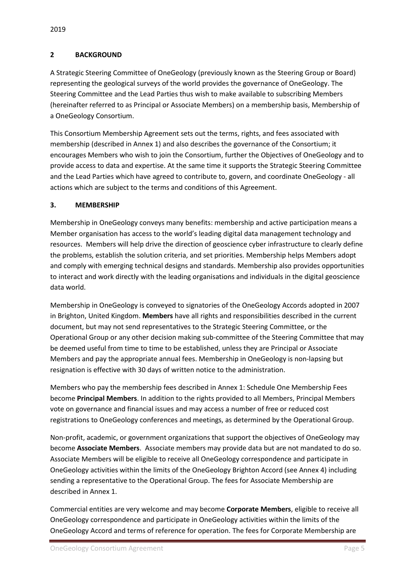#### **2 BACKGROUND**

A Strategic Steering Committee of OneGeology (previously known as the Steering Group or Board) representing the geological surveys of the world provides the governance of OneGeology. The Steering Committee and the Lead Parties thus wish to make available to subscribing Members (hereinafter referred to as Principal or Associate Members) on a membership basis, Membership of a OneGeology Consortium.

This Consortium Membership Agreement sets out the terms, rights, and fees associated with membership (described in Annex 1) and also describes the governance of the Consortium; it encourages Members who wish to join the Consortium, further the Objectives of OneGeology and to provide access to data and expertise. At the same time it supports the Strategic Steering Committee and the Lead Parties which have agreed to contribute to, govern, and coordinate OneGeology - all actions which are subject to the terms and conditions of this Agreement.

## **3. MEMBERSHIP**

Membership in OneGeology conveys many benefits: membership and active participation means a Member organisation has access to the world's leading digital data management technology and resources. Members will help drive the direction of geoscience cyber infrastructure to clearly define the problems, establish the solution criteria, and set priorities. Membership helps Members adopt and comply with emerging technical designs and standards. Membership also provides opportunities to interact and work directly with the leading organisations and individuals in the digital geoscience data world.

Membership in OneGeology is conveyed to signatories of the OneGeology Accords adopted in 2007 in Brighton, United Kingdom. **Members** have all rights and responsibilities described in the current document, but may not send representatives to the Strategic Steering Committee, or the Operational Group or any other decision making sub-committee of the Steering Committee that may be deemed useful from time to time to be established, unless they are Principal or Associate Members and pay the appropriate annual fees. Membership in OneGeology is non-lapsing but resignation is effective with 30 days of written notice to the administration.

Members who pay the membership fees described in Annex 1: Schedule One Membership Fees become **Principal Members**. In addition to the rights provided to all Members, Principal Members vote on governance and financial issues and may access a number of free or reduced cost registrations to OneGeology conferences and meetings, as determined by the Operational Group.

Non-profit, academic, or government organizations that support the objectives of OneGeology may become **Associate Members**. Associate members may provide data but are not mandated to do so. Associate Members will be eligible to receive all OneGeology correspondence and participate in OneGeology activities within the limits of the OneGeology Brighton Accord (see Annex 4) including sending a representative to the Operational Group. The fees for Associate Membership are described in Annex 1.

Commercial entities are very welcome and may become **Corporate Members**, eligible to receive all OneGeology correspondence and participate in OneGeology activities within the limits of the OneGeology Accord and terms of reference for operation. The fees for Corporate Membership are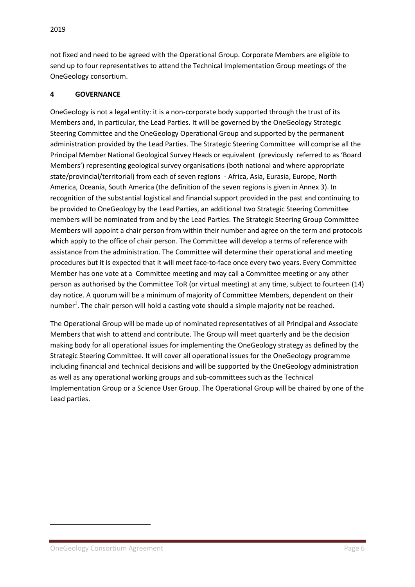not fixed and need to be agreed with the Operational Group. Corporate Members are eligible to send up to four representatives to attend the Technical Implementation Group meetings of the OneGeology consortium.

## **4 GOVERNANCE**

OneGeology is not a legal entity: it is a non-corporate body supported through the trust of its Members and, in particular, the Lead Parties. It will be governed by the OneGeology Strategic Steering Committee and the OneGeology Operational Group and supported by the permanent administration provided by the Lead Parties. The Strategic Steering Committee will comprise all the Principal Member National Geological Survey Heads or equivalent (previously referred to as 'Board Members') representing geological survey organisations (both national and where appropriate state/provincial/territorial) from each of seven regions - Africa, Asia, Eurasia, Europe, North America, Oceania, South America (the definition of the seven regions is given in Annex 3). In recognition of the substantial logistical and financial support provided in the past and continuing to be provided to OneGeology by the Lead Parties, an additional two Strategic Steering Committee members will be nominated from and by the Lead Parties. The Strategic Steering Group Committee Members will appoint a chair person from within their number and agree on the term and protocols which apply to the office of chair person. The Committee will develop a terms of reference with assistance from the administration. The Committee will determine their operational and meeting procedures but it is expected that it will meet face-to-face once every two years. Every Committee Member has one vote at a Committee meeting and may call a Committee meeting or any other person as authorised by the Committee ToR (or virtual meeting) at any time, subject to fourteen (14) day notice. A quorum will be a minimum of majority of Committee Members, dependent on their number<sup>1</sup>. The chair person will hold a casting vote should a simple majority not be reached.

The Operational Group will be made up of nominated representatives of all Principal and Associate Members that wish to attend and contribute. The Group will meet quarterly and be the decision making body for all operational issues for implementing the OneGeology strategy as defined by the Strategic Steering Committee. It will cover all operational issues for the OneGeology programme including financial and technical decisions and will be supported by the OneGeology administration as well as any operational working groups and sub-committees such as the Technical Implementation Group or a Science User Group. The Operational Group will be chaired by one of the Lead parties.

**.**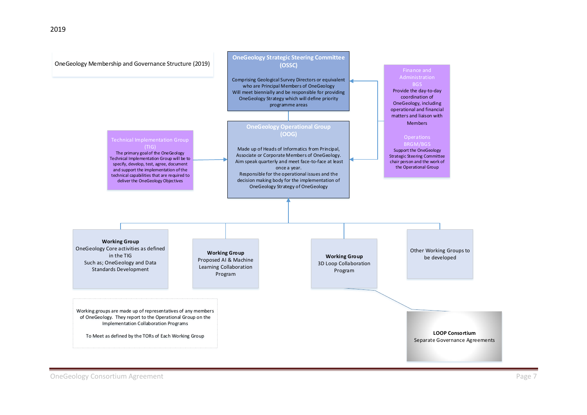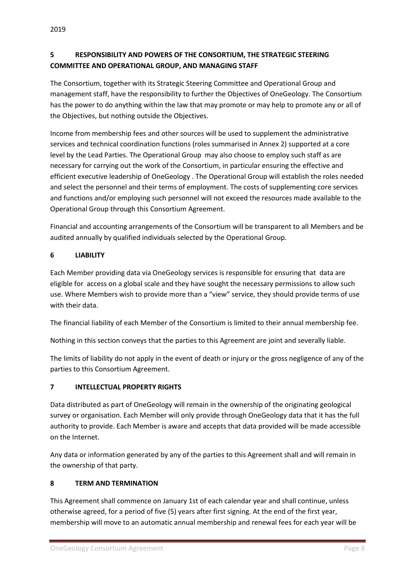## 2019

# **5 RESPONSIBILITY AND POWERS OF THE CONSORTIUM, THE STRATEGIC STEERING COMMITTEE AND OPERATIONAL GROUP, AND MANAGING STAFF**

The Consortium, together with its Strategic Steering Committee and Operational Group and management staff, have the responsibility to further the Objectives of OneGeology. The Consortium has the power to do anything within the law that may promote or may help to promote any or all of the Objectives, but nothing outside the Objectives.

Income from membership fees and other sources will be used to supplement the administrative services and technical coordination functions (roles summarised in Annex 2) supported at a core level by the Lead Parties. The Operational Group may also choose to employ such staff as are necessary for carrying out the work of the Consortium, in particular ensuring the effective and efficient executive leadership of OneGeology . The Operational Group will establish the roles needed and select the personnel and their terms of employment. The costs of supplementing core services and functions and/or employing such personnel will not exceed the resources made available to the Operational Group through this Consortium Agreement.

Financial and accounting arrangements of the Consortium will be transparent to all Members and be audited annually by qualified individuals selected by the Operational Group.

# **6 LIABILITY**

Each Member providing data via OneGeology services is responsible for ensuring that data are eligible for access on a global scale and they have sought the necessary permissions to allow such use. Where Members wish to provide more than a "view" service, they should provide terms of use with their data.

The financial liability of each Member of the Consortium is limited to their annual membership fee.

Nothing in this section conveys that the parties to this Agreement are joint and severally liable.

The limits of liability do not apply in the event of death or injury or the gross negligence of any of the parties to this Consortium Agreement.

# **7 INTELLECTUAL PROPERTY RIGHTS**

Data distributed as part of OneGeology will remain in the ownership of the originating geological survey or organisation. Each Member will only provide through OneGeology data that it has the full authority to provide. Each Member is aware and accepts that data provided will be made accessible on the Internet.

Any data or information generated by any of the parties to this Agreement shall and will remain in the ownership of that party.

# **8 TERM AND TERMINATION**

This Agreement shall commence on January 1st of each calendar year and shall continue, unless otherwise agreed, for a period of five (5) years after first signing. At the end of the first year, membership will move to an automatic annual membership and renewal fees for each year will be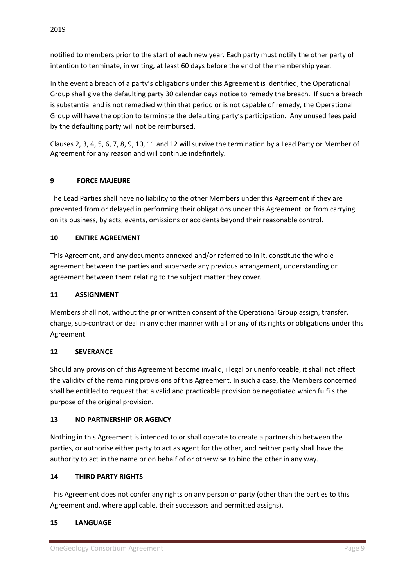notified to members prior to the start of each new year. Each party must notify the other party of intention to terminate, in writing, at least 60 days before the end of the membership year.

In the event a breach of a party's obligations under this Agreement is identified, the Operational Group shall give the defaulting party 30 calendar days notice to remedy the breach. If such a breach is substantial and is not remedied within that period or is not capable of remedy, the Operational Group will have the option to terminate the defaulting party's participation. Any unused fees paid by the defaulting party will not be reimbursed.

Clauses 2, 3, 4, 5, 6, 7, 8, 9, 10, 11 and 12 will survive the termination by a Lead Party or Member of Agreement for any reason and will continue indefinitely.

## **9 FORCE MAJEURE**

The Lead Parties shall have no liability to the other Members under this Agreement if they are prevented from or delayed in performing their obligations under this Agreement, or from carrying on its business, by acts, events, omissions or accidents beyond their reasonable control.

## **10 ENTIRE AGREEMENT**

This Agreement, and any documents annexed and/or referred to in it, constitute the whole agreement between the parties and supersede any previous arrangement, understanding or agreement between them relating to the subject matter they cover.

#### **11 ASSIGNMENT**

Members shall not, without the prior written consent of the Operational Group assign, transfer, charge, sub-contract or deal in any other manner with all or any of its rights or obligations under this Agreement.

#### **12 SEVERANCE**

Should any provision of this Agreement become invalid, illegal or unenforceable, it shall not affect the validity of the remaining provisions of this Agreement. In such a case, the Members concerned shall be entitled to request that a valid and practicable provision be negotiated which fulfils the purpose of the original provision.

#### **13 NO PARTNERSHIP OR AGENCY**

Nothing in this Agreement is intended to or shall operate to create a partnership between the parties, or authorise either party to act as agent for the other, and neither party shall have the authority to act in the name or on behalf of or otherwise to bind the other in any way.

#### **14 THIRD PARTY RIGHTS**

This Agreement does not confer any rights on any person or party (other than the parties to this Agreement and, where applicable, their successors and permitted assigns).

#### **15 LANGUAGE**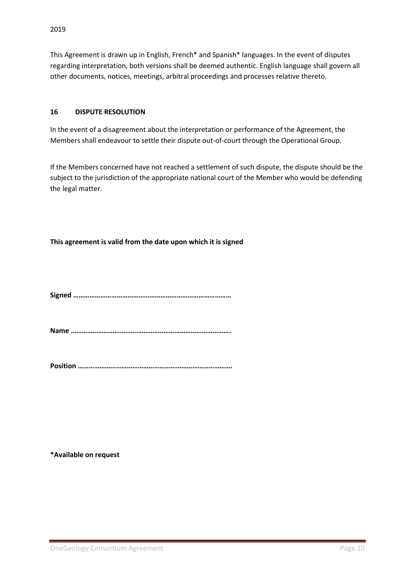This Agreement is drawn up in English, French\* and Spanish\* languages. In the event of disputes regarding interpretation, both versions shall be deemed authentic. English language shall govern all other documents, notices, meetings, arbitral proceedings and processes relative thereto.

## **16 DISPUTE RESOLUTION**

In the event of a disagreement about the interpretation or performance of the Agreement, the Members shall endeavour to settle their dispute out-of-court through the Operational Group.

If the Members concerned have not reached a settlement of such dispute, the dispute should be the subject to the jurisdiction of the appropriate national court of the Member who would be defending the legal matter.

**This agreement is valid from the date upon which it is signed**

**Signed ……………………………………………………………………………**

**Name …………………………………………………………………………….**

**Position ………………………………………………………………………….**

**\*Available on request**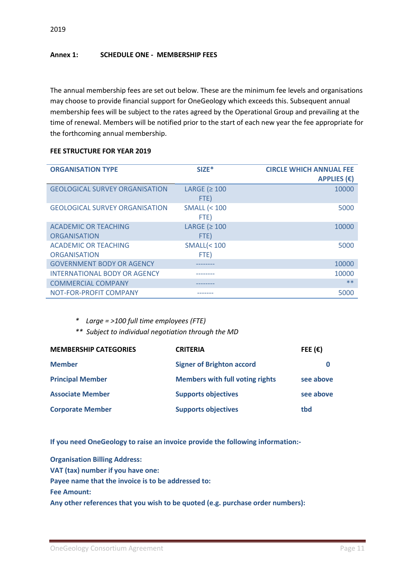#### **Annex 1: SCHEDULE ONE - MEMBERSHIP FEES**

The annual membership fees are set out below. These are the minimum fee levels and organisations may choose to provide financial support for OneGeology which exceeds this. Subsequent annual membership fees will be subject to the rates agreed by the Operational Group and prevailing at the time of renewal. Members will be notified prior to the start of each new year the fee appropriate for the forthcoming annual membership.

#### **FEE STRUCTURE FOR YEAR 2019**

| <b>ORGANISATION TYPE</b>                           | $SIZE$ *                       | <b>CIRCLE WHICH ANNUAL FEE</b><br><b>APPLIES (<math>\epsilon</math>)</b> |
|----------------------------------------------------|--------------------------------|--------------------------------------------------------------------------|
| <b>GEOLOGICAL SURVEY ORGANISATION</b>              | LARGE ( $\geq 100$<br>FTE)     | 10000                                                                    |
| <b>GEOLOGICAL SURVEY ORGANISATION</b>              | <b>SMALL (&lt; 100</b><br>FTE) | 5000                                                                     |
| <b>ACADEMIC OR TEACHING</b><br><b>ORGANISATION</b> | LARGE ( $\geq 100$<br>FTE)     | 10000                                                                    |
| <b>ACADEMIC OR TEACHING</b><br><b>ORGANISATION</b> | <b>SMALL(&lt;100</b><br>FTE)   | 5000                                                                     |
| <b>GOVERNMENT BODY OR AGENCY</b>                   |                                | 10000                                                                    |
| <b>INTERNATIONAL BODY OR AGENCY</b>                |                                | 10000                                                                    |
| <b>COMMERCIAL COMPANY</b>                          |                                | $**$                                                                     |
| NOT-FOR-PROFIT COMPANY                             |                                | 5000                                                                     |

*\* Large = >100 full time employees (FTE)*

*\*\* Subject to individual negotiation through the MD*

| <b>MEMBERSHIP CATEGORIES</b> | <b>CRITERIA</b>                        | FEE $(\epsilon)$ |
|------------------------------|----------------------------------------|------------------|
| <b>Member</b>                | <b>Signer of Brighton accord</b>       |                  |
| <b>Principal Member</b>      | <b>Members with full voting rights</b> | see above        |
| <b>Associate Member</b>      | <b>Supports objectives</b>             | see above        |
| <b>Corporate Member</b>      | <b>Supports objectives</b>             | tbd              |

**If you need OneGeology to raise an invoice provide the following information:-**

**Organisation Billing Address: VAT (tax) number if you have one: Payee name that the invoice is to be addressed to: Fee Amount: Any other references that you wish to be quoted (e.g. purchase order numbers):**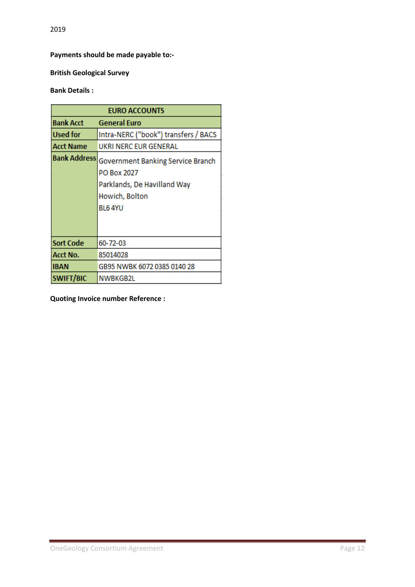**Payments should be made payable to:-**

**British Geological Survey**

#### **Bank Details :**

| <b>EURO ACCOUNTS</b> |                                                                                                          |
|----------------------|----------------------------------------------------------------------------------------------------------|
| <b>Bank Acct</b>     | <b>General Euro</b>                                                                                      |
| <b>Used for</b>      | Intra-NERC ("book") transfers / BACS                                                                     |
| <b>Acct Name</b>     | UKRI NERC EUR GENERAL                                                                                    |
| <b>Bank Address</b>  | Government Banking Service Branch<br><b>PO Box 2027</b><br>Parklands, De Havilland Way<br>Howich, Bolton |
|                      | BL6 4YU                                                                                                  |
| <b>Sort Code</b>     | 60-72-03                                                                                                 |
| Acct No.             | 85014028                                                                                                 |
| <b>IBAN</b>          | GB95 NWBK 6072 0385 0140 28                                                                              |
| <b>SWIFT/BIC</b>     | NWBKGB2L                                                                                                 |

**Quoting Invoice number Reference :**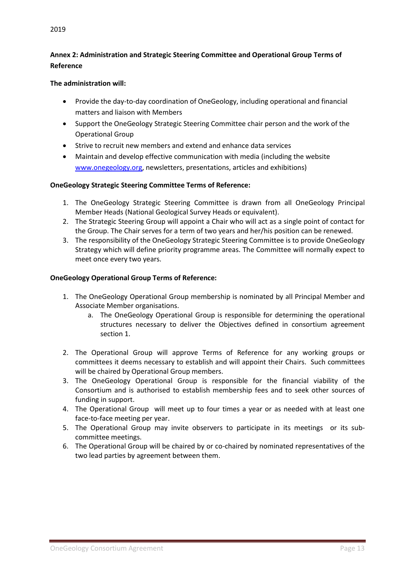# **Annex 2: Administration and Strategic Steering Committee and Operational Group Terms of Reference**

#### **The administration will:**

- Provide the day-to-day coordination of OneGeology, including operational and financial matters and liaison with Members
- Support the OneGeology Strategic Steering Committee chair person and the work of the Operational Group
- Strive to recruit new members and extend and enhance data services
- Maintain and develop effective communication with media (including the website [www.onegeology.org,](http://www.onegeology.org/) newsletters, presentations, articles and exhibitions)

#### **OneGeology Strategic Steering Committee Terms of Reference:**

- 1. The OneGeology Strategic Steering Committee is drawn from all OneGeology Principal Member Heads (National Geological Survey Heads or equivalent).
- 2. The Strategic Steering Group will appoint a Chair who will act as a single point of contact for the Group. The Chair serves for a term of two years and her/his position can be renewed.
- 3. The responsibility of the OneGeology Strategic Steering Committee is to provide OneGeology Strategy which will define priority programme areas. The Committee will normally expect to meet once every two years.

#### **OneGeology Operational Group Terms of Reference:**

- 1. The OneGeology Operational Group membership is nominated by all Principal Member and Associate Member organisations.
	- a. The OneGeology Operational Group is responsible for determining the operational structures necessary to deliver the Objectives defined in consortium agreement section 1.
- 2. The Operational Group will approve Terms of Reference for any working groups or committees it deems necessary to establish and will appoint their Chairs. Such committees will be chaired by Operational Group members.
- 3. The OneGeology Operational Group is responsible for the financial viability of the Consortium and is authorised to establish membership fees and to seek other sources of funding in support.
- 4. The Operational Group will meet up to four times a year or as needed with at least one face-to-face meeting per year.
- 5. The Operational Group may invite observers to participate in its meetings or its subcommittee meetings.
- 6. The Operational Group will be chaired by or co-chaired by nominated representatives of the two lead parties by agreement between them.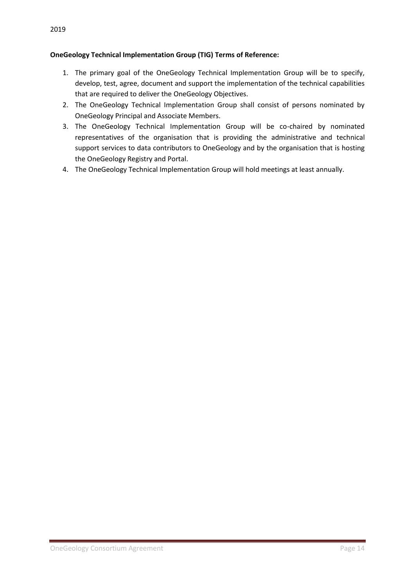#### **OneGeology Technical Implementation Group (TIG) Terms of Reference:**

- 1. The primary goal of the OneGeology Technical Implementation Group will be to specify, develop, test, agree, document and support the implementation of the technical capabilities that are required to deliver the OneGeology Objectives.
- 2. The OneGeology Technical Implementation Group shall consist of persons nominated by OneGeology Principal and Associate Members.
- 3. The OneGeology Technical Implementation Group will be co-chaired by nominated representatives of the organisation that is providing the administrative and technical support services to data contributors to OneGeology and by the organisation that is hosting the OneGeology Registry and Portal.
- 4. The OneGeology Technical Implementation Group will hold meetings at least annually.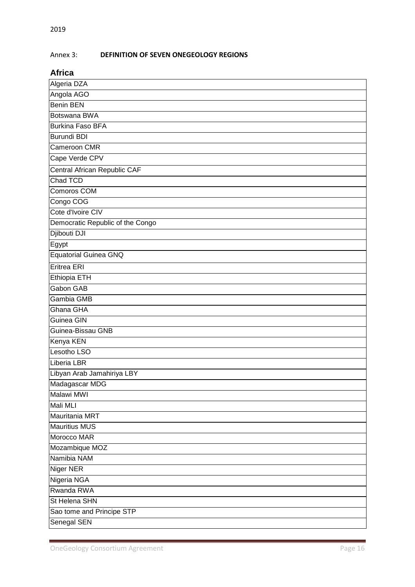# Annex 3: **DEFINITION OF SEVEN ONEGEOLOGY REGIONS**

# **Africa**

| Algeria DZA                      |
|----------------------------------|
| Angola AGO                       |
| <b>Benin BEN</b>                 |
| Botswana BWA                     |
| <b>Burkina Faso BFA</b>          |
| Burundi BDI                      |
| Cameroon CMR                     |
| Cape Verde CPV                   |
| Central African Republic CAF     |
| <b>Chad TCD</b>                  |
| Comoros COM                      |
| Congo COG                        |
| Cote d'Ivoire CIV                |
| Democratic Republic of the Congo |
| Djibouti DJI                     |
| Egypt                            |
| <b>Equatorial Guinea GNQ</b>     |
| <b>Eritrea ERI</b>               |
| Ethiopia ETH                     |
| Gabon GAB                        |
| Gambia GMB                       |
| Ghana GHA                        |
| Guinea GIN                       |
| Guinea-Bissau GNB                |
| Kenya KEN                        |
| Lesotho LSO                      |
| Liberia LBR                      |
| Libyan Arab Jamahiriya LBY       |
| Madagascar MDG                   |
| Malawi MWI                       |
| Mali MLI                         |
| Mauritania MRT                   |
| <b>Mauritius MUS</b>             |
| Morocco MAR                      |
| Mozambique MOZ                   |
| Namibia NAM                      |
| Niger NER                        |
| Nigeria NGA                      |
| Rwanda RWA                       |
| St Helena SHN                    |
| Sao tome and Principe STP        |
| Senegal SEN                      |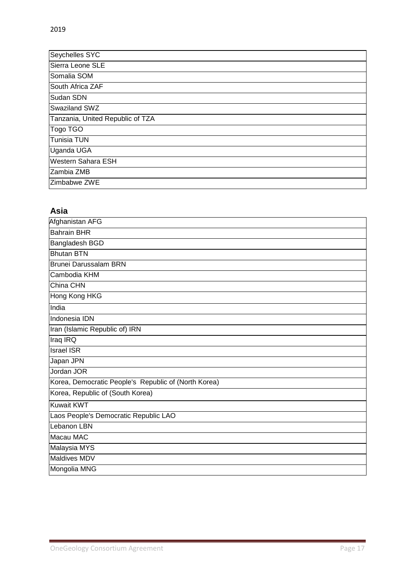| Seychelles SYC                   |
|----------------------------------|
| Sierra Leone SLE                 |
| Somalia SOM                      |
| South Africa ZAF                 |
| Sudan SDN                        |
| <b>Swaziland SWZ</b>             |
| Tanzania, United Republic of TZA |
| Togo TGO                         |
| Tunisia TUN                      |
| Uganda UGA                       |
| <b>Western Sahara ESH</b>        |
| Zambia ZMB                       |
| Zimbabwe ZWE                     |
|                                  |

# **Asia**

| Afghanistan AFG                                      |
|------------------------------------------------------|
| <b>Bahrain BHR</b>                                   |
| Bangladesh BGD                                       |
| <b>Bhutan BTN</b>                                    |
| <b>Brunei Darussalam BRN</b>                         |
| Cambodia KHM                                         |
| China CHN                                            |
| Hong Kong HKG                                        |
| India                                                |
| Indonesia IDN                                        |
| Iran (Islamic Republic of) IRN                       |
| Iraq IRQ                                             |
| <b>Israel ISR</b>                                    |
| Japan JPN                                            |
| Jordan JOR                                           |
| Korea, Democratic People's Republic of (North Korea) |
| Korea, Republic of (South Korea)                     |
| <b>Kuwait KWT</b>                                    |
| Laos People's Democratic Republic LAO                |
| <b>Lebanon LBN</b>                                   |
| Macau MAC                                            |
| Malaysia MYS                                         |
| Maldives MDV                                         |
| Mongolia MNG                                         |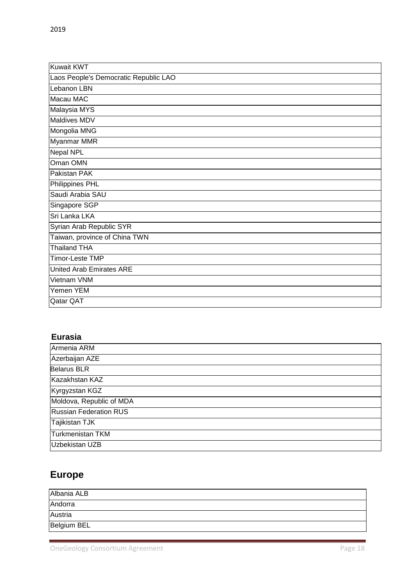| <b>Kuwait KWT</b>                     |
|---------------------------------------|
| Laos People's Democratic Republic LAO |
| Lebanon LBN                           |
| Macau MAC                             |
| Malaysia MYS                          |
| Maldives MDV                          |
| Mongolia MNG                          |
| Myanmar MMR                           |
| <b>Nepal NPL</b>                      |
| Oman OMN                              |
| Pakistan PAK                          |
| Philippines PHL                       |
| Saudi Arabia SAU                      |
| Singapore SGP                         |
| Sri Lanka LKA                         |
| Syrian Arab Republic SYR              |
| Taiwan, province of China TWN         |
| <b>Thailand THA</b>                   |
| <b>Timor-Leste TMP</b>                |
| <b>United Arab Emirates ARE</b>       |
| Vietnam VNM                           |
| Yemen YEM                             |
| Qatar QAT                             |

# **Eurasia**

| Armenia ARM                   |
|-------------------------------|
| Azerbaijan AZE                |
| <b>Belarus BLR</b>            |
| Kazakhstan KAZ                |
| Kyrgyzstan KGZ                |
| Moldova, Republic of MDA      |
| <b>Russian Federation RUS</b> |
| Tajikistan TJK                |
| Turkmenistan TKM              |
| Uzbekistan UZB                |

# **Europe**

| Albania ALB |  |
|-------------|--|
| Andorra     |  |
| Austria     |  |
| Belgium BEL |  |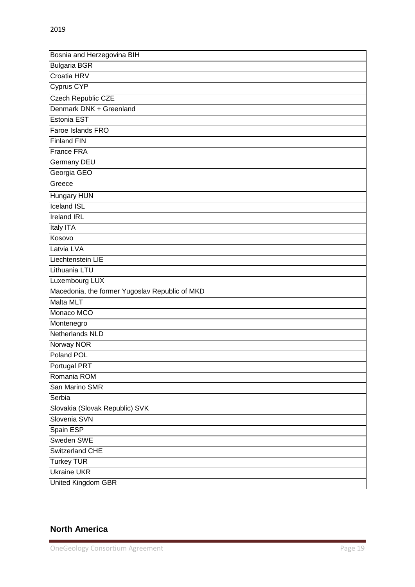| Bosnia and Herzegovina BIH                     |
|------------------------------------------------|
| <b>Bulgaria BGR</b>                            |
| Croatia HRV                                    |
| Cyprus CYP                                     |
| Czech Republic CZE                             |
| Denmark DNK + Greenland                        |
| Estonia EST                                    |
| Faroe Islands FRO                              |
| <b>Finland FIN</b>                             |
| <b>France FRA</b>                              |
| Germany DEU                                    |
| Georgia GEO                                    |
| Greece                                         |
| Hungary HUN                                    |
| <b>Iceland ISL</b>                             |
| <b>Ireland IRL</b>                             |
| Italy ITA                                      |
| Kosovo                                         |
| Latvia LVA                                     |
| Liechtenstein LIE                              |
| Lithuania LTU                                  |
| Luxembourg LUX                                 |
| Macedonia, the former Yugoslav Republic of MKD |
| Malta MLT                                      |
| Monaco MCO                                     |
| Montenegro                                     |
| Netherlands NLD                                |
| Norway NOR                                     |
| Poland POL                                     |
| Portugal PRT                                   |
| Romania ROM                                    |
| San Marino SMR                                 |
| Serbia                                         |
| Slovakia (Slovak Republic) SVK                 |
| Slovenia SVN                                   |
| Spain ESP                                      |
| Sweden SWE                                     |
| Switzerland CHE                                |
| Turkey TUR                                     |
| <b>Ukraine UKR</b>                             |
| <b>United Kingdom GBR</b>                      |

# **North America**

٦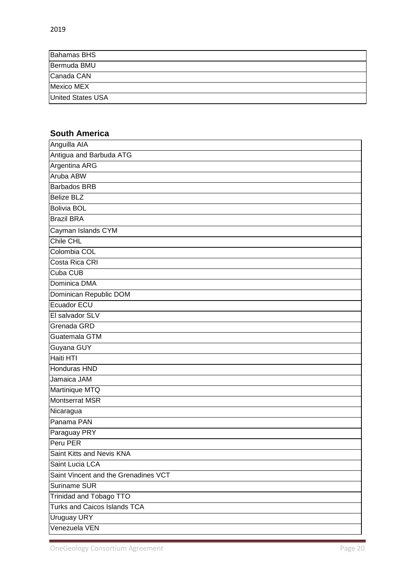| <b>Bahamas BHS</b>       |  |
|--------------------------|--|
| Bermuda BMU              |  |
| Canada CAN               |  |
| Mexico MEX               |  |
| <b>United States USA</b> |  |

# **South America**

| Anguilla AIA                         |
|--------------------------------------|
| Antigua and Barbuda ATG              |
| <b>Argentina ARG</b>                 |
| Aruba ABW                            |
| <b>Barbados BRB</b>                  |
| <b>Belize BLZ</b>                    |
| <b>Bolivia BOL</b>                   |
| <b>Brazil BRA</b>                    |
| Cayman Islands CYM                   |
| <b>Chile CHL</b>                     |
| Colombia COL                         |
| Costa Rica CRI                       |
| Cuba CUB                             |
| <b>Dominica DMA</b>                  |
| Dominican Republic DOM               |
| Ecuador ECU                          |
| El salvador SLV                      |
| Grenada GRD                          |
| Guatemala GTM                        |
| Guyana GUY                           |
| Haiti HTI                            |
| Honduras HND                         |
| Jamaica JAM                          |
| Martinique MTQ                       |
| <b>Montserrat MSR</b>                |
| Nicaragua                            |
| Panama PAN                           |
| Paraguay PRY                         |
| Peru PER                             |
| Saint Kitts and Nevis KNA            |
| Saint Lucia LCA                      |
| Saint Vincent and the Grenadines VCT |
| Suriname SUR                         |
| Trinidad and Tobago TTO              |
| Turks and Caicos Islands TCA         |
| <b>Uruguay URY</b>                   |
| Venezuela VEN                        |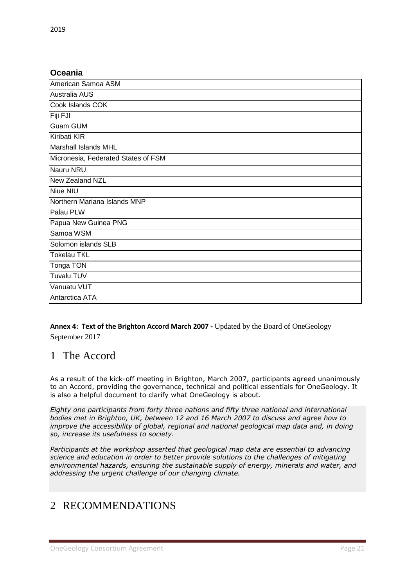## **Oceania**

| American Samoa ASM                  |
|-------------------------------------|
| <b>Australia AUS</b>                |
| Cook Islands COK                    |
| Fiji FJI                            |
| <b>Guam GUM</b>                     |
| Kiribati KIR                        |
| Marshall Islands MHL                |
| Micronesia, Federated States of FSM |
| Nauru NRU                           |
| <b>New Zealand NZL</b>              |
| <b>Niue NIU</b>                     |
| Northern Mariana Islands MNP        |
| Palau PLW                           |
| Papua New Guinea PNG                |
| Samoa WSM                           |
| Solomon islands SLB                 |
| <b>Tokelau TKL</b>                  |
| Tonga TON                           |
| Tuvalu TUV                          |
| Vanuatu VUT                         |
| Antarctica ATA                      |

## **Annex 4: Text of the Brighton Accord March 2007 -** Updated by the Board of OneGeology September 2017

# 1 The Accord

As a result of the kick-off meeting in Brighton, March 2007, participants agreed unanimously to an Accord, providing the governance, technical and political essentials for OneGeology. It is also a helpful document to clarify what OneGeology is about.

*Eighty one participants from forty three nations and fifty three national and international bodies met in Brighton, UK, between 12 and 16 March 2007 to discuss and agree how to improve the accessibility of global, regional and national geological map data and, in doing so, increase its usefulness to society.* 

*Participants at the workshop asserted that geological map data are essential to advancing science and education in order to better provide solutions to the challenges of mitigating environmental hazards, ensuring the sustainable supply of energy, minerals and water, and addressing the urgent challenge of our changing climate.*

# 2 RECOMMENDATIONS